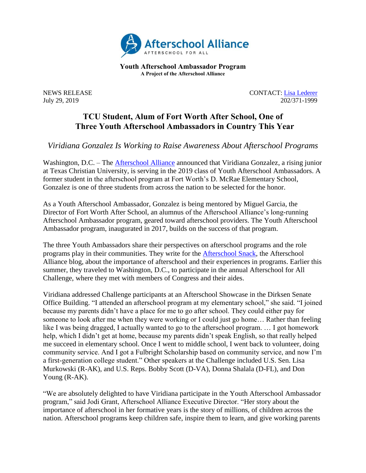

**Youth Afterschool Ambassador Program A Project of the Afterschool Alliance**

NEWS RELEASE CONTACT: [Lisa](mailto:lisa@prsolutionsdc.com?subject=2017-18%20Ambassador:%20) [Lederer](mailto:lisa@prsolutionsdc.com) July 29, 2019 202/371-1999

## **TCU Student, Alum of Fort Worth After School, One of Three Youth Afterschool Ambassadors in Country This Year**

*Viridiana Gonzalez Is Working to Raise Awareness About Afterschool Programs*

Washington, D.C. – The **Afterschool Alliance** announced that Viridiana Gonzalez, a rising junior at Texas Christian University, is serving in the 2019 class of Youth Afterschool Ambassadors. A former student in the afterschool program at Fort Worth's D. McRae Elementary School, Gonzalez is one of three students from across the nation to be selected for the honor.

As a Youth Afterschool Ambassador, Gonzalez is being mentored by Miguel Garcia, the Director of Fort Worth After School, an alumnus of the Afterschool Alliance's long-running Afterschool Ambassador program, geared toward afterschool providers. The Youth Afterschool Ambassador program, inaugurated in 2017, builds on the success of that program.

The three Youth Ambassadors share their perspectives on afterschool programs and the role programs play in their communities. They write for the [Afterschool Snack,](http://www.afterschoolalliance.org/afterschoolsnack/ASnack.cfm) the Afterschool Alliance blog, about the importance of afterschool and their experiences in programs. Earlier this summer, they traveled to Washington, D.C., to participate in the annual Afterschool for All Challenge, where they met with members of Congress and their aides.

Viridiana addressed Challenge participants at an Afterschool Showcase in the Dirksen Senate Office Building. "I attended an afterschool program at my elementary school," she said. "I joined because my parents didn't have a place for me to go after school. They could either pay for someone to look after me when they were working or I could just go home… Rather than feeling like I was being dragged, I actually wanted to go to the afterschool program. ... I got homework help, which I didn't get at home, because my parents didn't speak English, so that really helped me succeed in elementary school. Once I went to middle school, I went back to volunteer, doing community service. And I got a Fulbright Scholarship based on community service, and now I'm a first-generation college student." Other speakers at the Challenge included U.S. Sen. Lisa Murkowski (R-AK), and U.S. Reps. Bobby Scott (D-VA), Donna Shalala (D-FL), and Don Young (R-AK).

"We are absolutely delighted to have Viridiana participate in the Youth Afterschool Ambassador program," said Jodi Grant, Afterschool Alliance Executive Director. "Her story about the importance of afterschool in her formative years is the story of millions, of children across the nation. Afterschool programs keep children safe, inspire them to learn, and give working parents